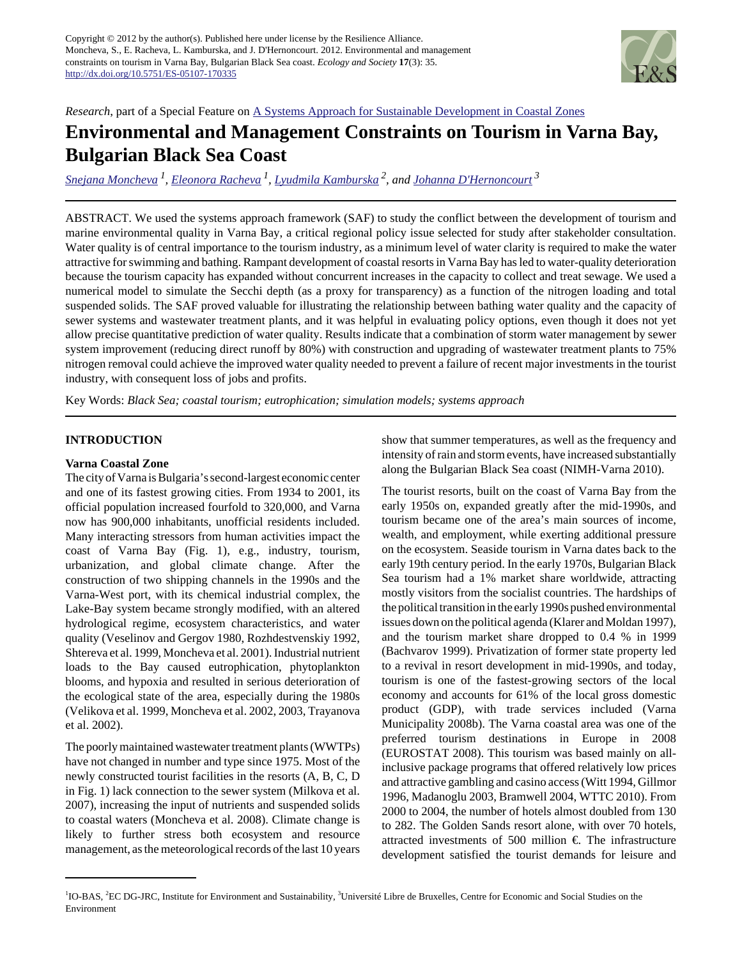

*Research*, part of a Special Feature on [A Systems Approach for Sustainable Development in Coastal Zones](http://www.ecologyandsociety.org/viewissue.php?sf=67)

# **Environmental and Management Constraints on Tourism in Varna Bay, Bulgarian Black Sea Coast**

*[Snejana Moncheva](mailto:snejanam@abv.bg)<sup>1</sup> , [Eleonora Racheva](mailto:ainsteim@abv.bg)<sup>1</sup> , [Lyudmila Kamburska](mailto:lyudmila.kamburska@jrc.it) 2, and [Johanna D'Hernoncourt](mailto:jodherno@ulb.ac.be)<sup>3</sup>*

ABSTRACT. We used the systems approach framework (SAF) to study the conflict between the development of tourism and marine environmental quality in Varna Bay, a critical regional policy issue selected for study after stakeholder consultation. Water quality is of central importance to the tourism industry, as a minimum level of water clarity is required to make the water attractive for swimming and bathing. Rampant development of coastal resorts in Varna Bay has led to water-quality deterioration because the tourism capacity has expanded without concurrent increases in the capacity to collect and treat sewage. We used a numerical model to simulate the Secchi depth (as a proxy for transparency) as a function of the nitrogen loading and total suspended solids. The SAF proved valuable for illustrating the relationship between bathing water quality and the capacity of sewer systems and wastewater treatment plants, and it was helpful in evaluating policy options, even though it does not yet allow precise quantitative prediction of water quality. Results indicate that a combination of storm water management by sewer system improvement (reducing direct runoff by 80%) with construction and upgrading of wastewater treatment plants to 75% nitrogen removal could achieve the improved water quality needed to prevent a failure of recent major investments in the tourist industry, with consequent loss of jobs and profits.

Key Words: *Black Sea; coastal tourism; eutrophication; simulation models; systems approach*

## **INTRODUCTION**

## **Varna Coastal Zone**

The city of Varna is Bulgaria's second-largest economic center and one of its fastest growing cities. From 1934 to 2001, its official population increased fourfold to 320,000, and Varna now has 900,000 inhabitants, unofficial residents included. Many interacting stressors from human activities impact the coast of Varna Bay (Fig. 1), e.g., industry, tourism, urbanization, and global climate change. After the construction of two shipping channels in the 1990s and the Varna-West port, with its chemical industrial complex, the Lake-Bay system became strongly modified, with an altered hydrological regime, ecosystem characteristics, and water quality (Veselinov and Gergov 1980, Rozhdestvenskiy 1992, Shtereva et al. 1999, Moncheva et al. 2001). Industrial nutrient loads to the Bay caused eutrophication, phytoplankton blooms, and hypoxia and resulted in serious deterioration of the ecological state of the area, especially during the 1980s (Velikova et al. 1999, Moncheva et al. 2002, 2003, Trayanova et al. 2002).

The poorly maintained wastewater treatment plants (WWTPs) have not changed in number and type since 1975. Most of the newly constructed tourist facilities in the resorts (A, B, C, D in Fig. 1) lack connection to the sewer system (Milkova et al. 2007), increasing the input of nutrients and suspended solids to coastal waters (Moncheva et al. 2008). Climate change is likely to further stress both ecosystem and resource management, as the meteorological records of the last 10 years show that summer temperatures, as well as the frequency and intensity of rain and storm events, have increased substantially along the Bulgarian Black Sea coast (NIMH-Varna 2010).

The tourist resorts, built on the coast of Varna Bay from the early 1950s on, expanded greatly after the mid-1990s, and tourism became one of the area's main sources of income, wealth, and employment, while exerting additional pressure on the ecosystem. Seaside tourism in Varna dates back to the early 19th century period. In the early 1970s, Bulgarian Black Sea tourism had a 1% market share worldwide, attracting mostly visitors from the socialist countries. The hardships of the political transition in the early 1990s pushed environmental issues down on the political agenda (Klarer and Moldan 1997), and the tourism market share dropped to 0.4 % in 1999 (Bachvarov 1999). Privatization of former state property led to a revival in resort development in mid-1990s, and today, tourism is one of the fastest-growing sectors of the local economy and accounts for 61% of the local gross domestic product (GDP), with trade services included (Varna Municipality 2008b). The Varna coastal area was one of the preferred tourism destinations in Europe in 2008 (EUROSTAT 2008). This tourism was based mainly on allinclusive package programs that offered relatively low prices and attractive gambling and casino access (Witt 1994, Gillmor 1996, Madanoglu 2003, Bramwell 2004, WTTC 2010). From 2000 to 2004, the number of hotels almost doubled from 130 to 282. The Golden Sands resort alone, with over 70 hotels, attracted investments of 500 million  $\epsilon$ . The infrastructure development satisfied the tourist demands for leisure and

<sup>&</sup>lt;sup>1</sup>IO-BAS, <sup>2</sup>EC DG-JRC, Institute for Environment and Sustainability, <sup>3</sup>Université Libre de Bruxelles, Centre for Economic and Social Studies on the Environment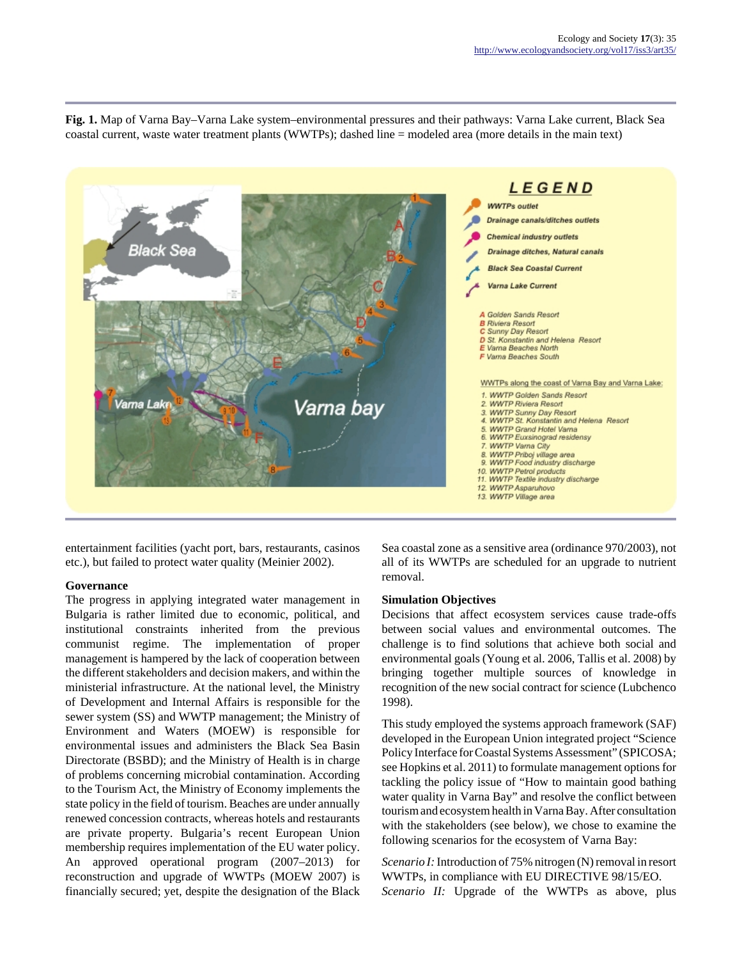**Fig. 1.** Map of Varna Bay–Varna Lake system–environmental pressures and their pathways: Varna Lake current, Black Sea coastal current, waste water treatment plants (WWTPs); dashed line = modeled area (more details in the main text)



entertainment facilities (yacht port, bars, restaurants, casinos etc.), but failed to protect water quality (Meinier 2002).

## **Governance**

The progress in applying integrated water management in Bulgaria is rather limited due to economic, political, and institutional constraints inherited from the previous communist regime. The implementation of proper management is hampered by the lack of cooperation between the different stakeholders and decision makers, and within the ministerial infrastructure. At the national level, the Ministry of Development and Internal Affairs is responsible for the sewer system (SS) and WWTP management; the Ministry of Environment and Waters (MOEW) is responsible for environmental issues and administers the Black Sea Basin Directorate (BSBD); and the Ministry of Health is in charge of problems concerning microbial contamination. According to the Tourism Act, the Ministry of Economy implements the state policy in the field of tourism. Beaches are under annually renewed concession contracts, whereas hotels and restaurants are private property. Bulgaria's recent European Union membership requires implementation of the EU water policy. An approved operational program (2007–2013) for reconstruction and upgrade of WWTPs (MOEW 2007) is financially secured; yet, despite the designation of the Black

Sea coastal zone as a sensitive area (ordinance 970/2003), not all of its WWTPs are scheduled for an upgrade to nutrient removal.

## **Simulation Objectives**

Decisions that affect ecosystem services cause trade-offs between social values and environmental outcomes. The challenge is to find solutions that achieve both social and environmental goals (Young et al. 2006, Tallis et al. 2008) by bringing together multiple sources of knowledge in recognition of the new social contract for science (Lubchenco 1998).

This study employed the systems approach framework (SAF) developed in the European Union integrated project "Science Policy Interface for Coastal Systems Assessment" (SPICOSA; see Hopkins et al. 2011) to formulate management options for tackling the policy issue of "How to maintain good bathing water quality in Varna Bay" and resolve the conflict between tourism and ecosystem health in Varna Bay. After consultation with the stakeholders (see below), we chose to examine the following scenarios for the ecosystem of Varna Bay:

*Scenario I:* Introduction of 75% nitrogen (N) removal in resort WWTPs, in compliance with EU DIRECTIVE 98/15/EO. *Scenario II:* Upgrade of the WWTPs as above, plus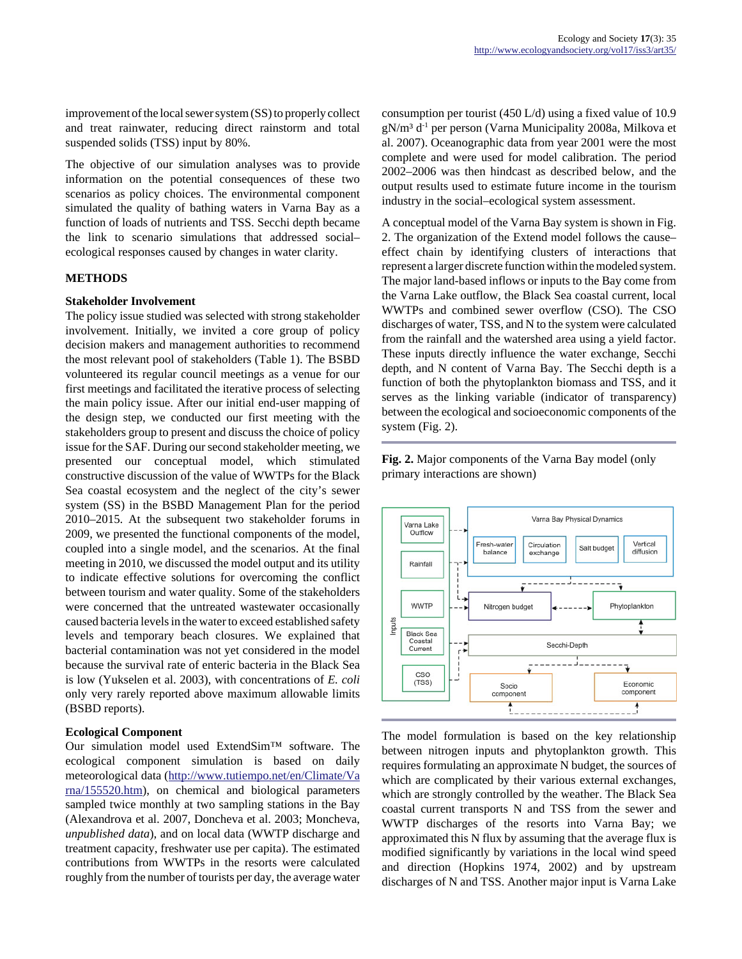improvement of the local sewer system (SS) to properly collect and treat rainwater, reducing direct rainstorm and total suspended solids (TSS) input by 80%.

The objective of our simulation analyses was to provide information on the potential consequences of these two scenarios as policy choices. The environmental component simulated the quality of bathing waters in Varna Bay as a function of loads of nutrients and TSS. Secchi depth became the link to scenario simulations that addressed social– ecological responses caused by changes in water clarity.

## **METHODS**

#### **Stakeholder Involvement**

The policy issue studied was selected with strong stakeholder involvement. Initially, we invited a core group of policy decision makers and management authorities to recommend the most relevant pool of stakeholders (Table 1). The BSBD volunteered its regular council meetings as a venue for our first meetings and facilitated the iterative process of selecting the main policy issue. After our initial end-user mapping of the design step, we conducted our first meeting with the stakeholders group to present and discuss the choice of policy issue for the SAF. During our second stakeholder meeting, we presented our conceptual model, which stimulated constructive discussion of the value of WWTPs for the Black Sea coastal ecosystem and the neglect of the city's sewer system (SS) in the BSBD Management Plan for the period 2010–2015. At the subsequent two stakeholder forums in 2009, we presented the functional components of the model, coupled into a single model, and the scenarios. At the final meeting in 2010, we discussed the model output and its utility to indicate effective solutions for overcoming the conflict between tourism and water quality. Some of the stakeholders were concerned that the untreated wastewater occasionally caused bacteria levels in the water to exceed established safety levels and temporary beach closures. We explained that bacterial contamination was not yet considered in the model because the survival rate of enteric bacteria in the Black Sea is low (Yukselen et al. 2003), with concentrations of *E. coli* only very rarely reported above maximum allowable limits (BSBD reports).

## **Ecological Component**

Our simulation model used ExtendSim™ software. The ecological component simulation is based on daily meteorological data ([http://www.tutiempo.net/en/Climate/Va](http://www.tutiempo.net/en/Climate/Varna/155520.htm) [rna/155520.htm\)](http://www.tutiempo.net/en/Climate/Varna/155520.htm), on chemical and biological parameters sampled twice monthly at two sampling stations in the Bay (Alexandrova et al. 2007, Doncheva et al. 2003; Moncheva, *unpublished data*), and on local data (WWTP discharge and treatment capacity, freshwater use per capita). The estimated contributions from WWTPs in the resorts were calculated roughly from the number of tourists per day, the average water consumption per tourist (450 L/d) using a fixed value of 10.9  $gN/m<sup>3</sup> d<sup>-1</sup>$  per person (Varna Municipality 2008a, Milkova et al. 2007). Oceanographic data from year 2001 were the most complete and were used for model calibration. The period 2002–2006 was then hindcast as described below, and the output results used to estimate future income in the tourism industry in the social–ecological system assessment.

A conceptual model of the Varna Bay system is shown in Fig. 2. The organization of the Extend model follows the cause– effect chain by identifying clusters of interactions that represent a larger discrete function within the modeled system. The major land-based inflows or inputs to the Bay come from the Varna Lake outflow, the Black Sea coastal current, local WWTPs and combined sewer overflow (CSO). The CSO discharges of water, TSS, and N to the system were calculated from the rainfall and the watershed area using a yield factor. These inputs directly influence the water exchange, Secchi depth, and N content of Varna Bay. The Secchi depth is a function of both the phytoplankton biomass and TSS, and it serves as the linking variable (indicator of transparency) between the ecological and socioeconomic components of the system (Fig. 2).

**Fig. 2.** Major components of the Varna Bay model (only primary interactions are shown)



The model formulation is based on the key relationship between nitrogen inputs and phytoplankton growth. This requires formulating an approximate N budget, the sources of which are complicated by their various external exchanges, which are strongly controlled by the weather. The Black Sea coastal current transports N and TSS from the sewer and WWTP discharges of the resorts into Varna Bay; we approximated this N flux by assuming that the average flux is modified significantly by variations in the local wind speed and direction (Hopkins 1974, 2002) and by upstream discharges of N and TSS. Another major input is Varna Lake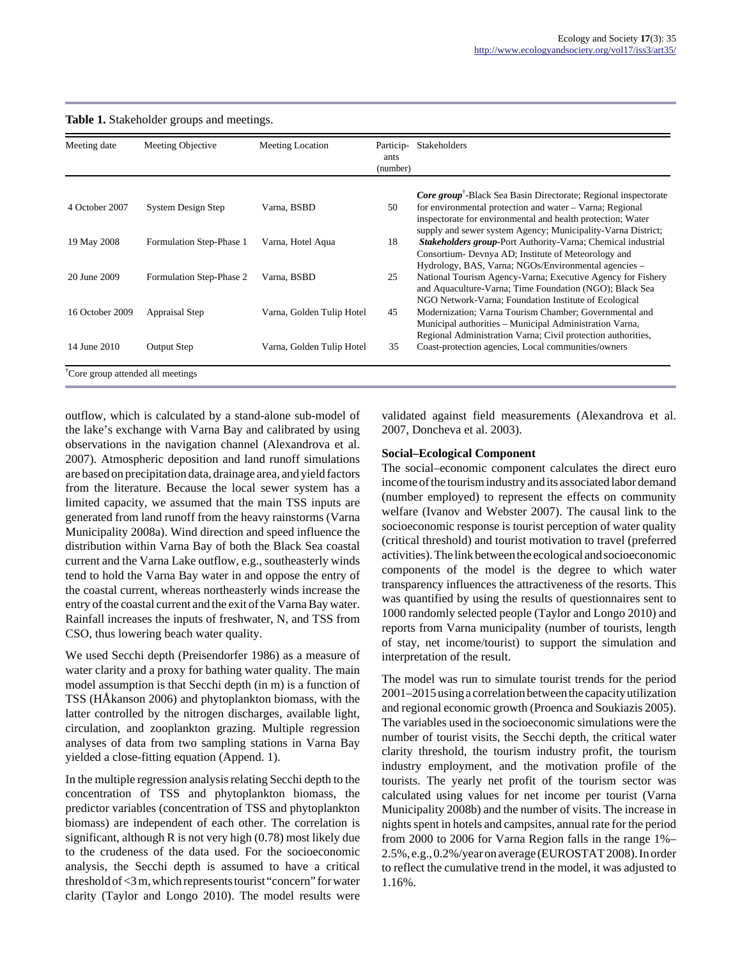| <b>Core group<sup>†</sup>-Black Sea Basin Directorate</b> ; Regional inspectorate<br>for environmental protection and water - Varna; Regional<br>inspectorate for environmental and health protection; Water<br>supply and sewer system Agency; Municipality-Varna District; |
|------------------------------------------------------------------------------------------------------------------------------------------------------------------------------------------------------------------------------------------------------------------------------|
| Stakeholders group-Port Authority-Varna; Chemical industrial<br>Consortium-Devnya AD; Institute of Meteorology and<br>Hydrology, BAS, Varna; NGOs/Environmental agencies -                                                                                                   |
| National Tourism Agency-Varna; Executive Agency for Fishery<br>and Aquaculture-Varna; Time Foundation (NGO); Black Sea<br>NGO Network-Varna; Foundation Institute of Ecological                                                                                              |
| Modernization; Varna Tourism Chamber; Governmental and<br>Municipal authorities – Municipal Administration Varna,<br>Regional Administration Varna; Civil protection authorities,                                                                                            |
| Coast-protection agencies, Local communities/owners                                                                                                                                                                                                                          |
|                                                                                                                                                                                                                                                                              |

## **Table 1.** Stakeholder groups and meetings.

outflow, which is calculated by a stand-alone sub-model of the lake's exchange with Varna Bay and calibrated by using observations in the navigation channel (Alexandrova et al. 2007). Atmospheric deposition and land runoff simulations are based on precipitation data, drainage area, and yield factors from the literature. Because the local sewer system has a limited capacity, we assumed that the main TSS inputs are generated from land runoff from the heavy rainstorms (Varna Municipality 2008a). Wind direction and speed influence the distribution within Varna Bay of both the Black Sea coastal current and the Varna Lake outflow, e.g., southeasterly winds tend to hold the Varna Bay water in and oppose the entry of the coastal current, whereas northeasterly winds increase the entry of the coastal current and the exit of the Varna Bay water. Rainfall increases the inputs of freshwater, N, and TSS from CSO, thus lowering beach water quality.

We used Secchi depth (Preisendorfer 1986) as a measure of water clarity and a proxy for bathing water quality. The main model assumption is that Secchi depth (in m) is a function of TSS (HÅkanson 2006) and phytoplankton biomass, with the latter controlled by the nitrogen discharges, available light, circulation, and zooplankton grazing. Multiple regression analyses of data from two sampling stations in Varna Bay yielded a close-fitting equation (Append. 1).

In the multiple regression analysis relating Secchi depth to the concentration of TSS and phytoplankton biomass, the predictor variables (concentration of TSS and phytoplankton biomass) are independent of each other. The correlation is significant, although R is not very high (0.78) most likely due to the crudeness of the data used. For the socioeconomic analysis, the Secchi depth is assumed to have a critical threshold of <3 m, which represents tourist "concern" for water clarity (Taylor and Longo 2010). The model results were validated against field measurements (Alexandrova et al. 2007, Doncheva et al. 2003).

#### **Social–Ecological Component**

The social–economic component calculates the direct euro income of the tourism industry and its associated labor demand (number employed) to represent the effects on community welfare (Ivanov and Webster 2007). The causal link to the socioeconomic response is tourist perception of water quality (critical threshold) and tourist motivation to travel (preferred activities). The link between the ecological and socioeconomic components of the model is the degree to which water transparency influences the attractiveness of the resorts. This was quantified by using the results of questionnaires sent to 1000 randomly selected people (Taylor and Longo 2010) and reports from Varna municipality (number of tourists, length of stay, net income/tourist) to support the simulation and interpretation of the result.

The model was run to simulate tourist trends for the period 2001–2015 using a correlation between the capacity utilization and regional economic growth (Proenca and Soukiazis 2005). The variables used in the socioeconomic simulations were the number of tourist visits, the Secchi depth, the critical water clarity threshold, the tourism industry profit, the tourism industry employment, and the motivation profile of the tourists. The yearly net profit of the tourism sector was calculated using values for net income per tourist (Varna Municipality 2008b) and the number of visits. The increase in nights spent in hotels and campsites, annual rate for the period from 2000 to 2006 for Varna Region falls in the range 1%– 2.5%, e.g., 0.2%/year on average (EUROSTAT 2008). In order to reflect the cumulative trend in the model, it was adjusted to 1.16%.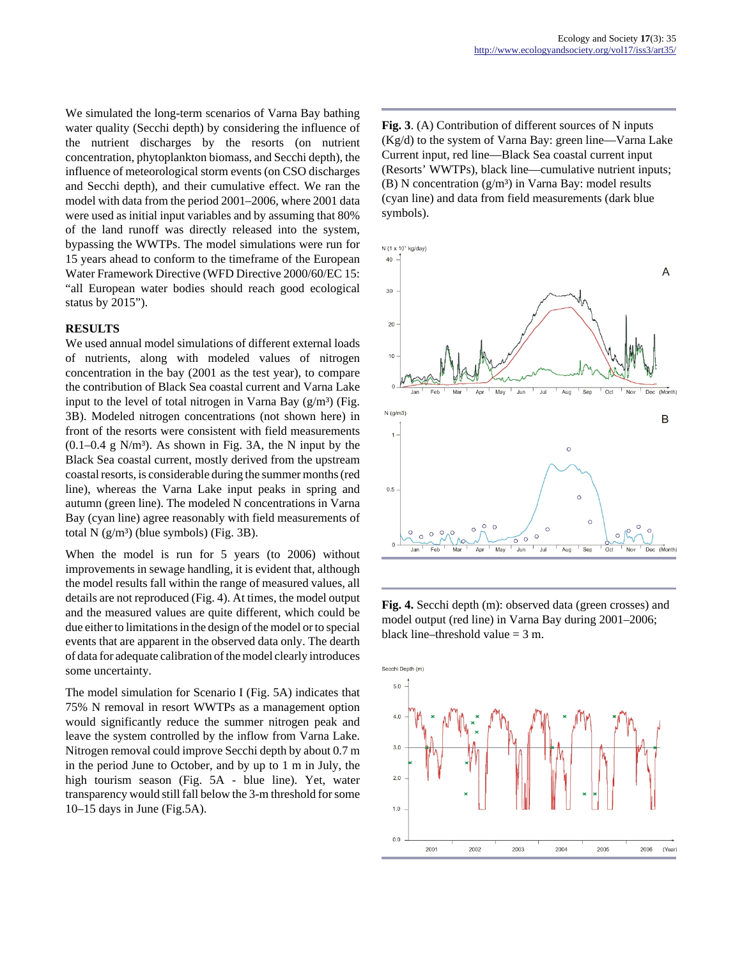We simulated the long-term scenarios of Varna Bay bathing water quality (Secchi depth) by considering the influence of the nutrient discharges by the resorts (on nutrient concentration, phytoplankton biomass, and Secchi depth), the influence of meteorological storm events (on CSO discharges and Secchi depth), and their cumulative effect. We ran the model with data from the period 2001–2006, where 2001 data were used as initial input variables and by assuming that 80% of the land runoff was directly released into the system, bypassing the WWTPs. The model simulations were run for 15 years ahead to conform to the timeframe of the European Water Framework Directive (WFD Directive 2000/60/EC 15: "all European water bodies should reach good ecological status by 2015").

#### **RESULTS**

We used annual model simulations of different external loads of nutrients, along with modeled values of nitrogen concentration in the bay (2001 as the test year), to compare the contribution of Black Sea coastal current and Varna Lake input to the level of total nitrogen in Varna Bay  $(g/m<sup>3</sup>)$  (Fig. 3B). Modeled nitrogen concentrations (not shown here) in front of the resorts were consistent with field measurements  $(0.1–0.4 \text{ g N/m}^3)$ . As shown in Fig. 3A, the N input by the Black Sea coastal current, mostly derived from the upstream coastal resorts, is considerable during the summer months (red line), whereas the Varna Lake input peaks in spring and autumn (green line). The modeled N concentrations in Varna Bay (cyan line) agree reasonably with field measurements of total N  $(g/m<sup>3</sup>)$  (blue symbols) (Fig. 3B).

When the model is run for 5 years (to 2006) without improvements in sewage handling, it is evident that, although the model results fall within the range of measured values, all details are not reproduced (Fig. 4). At times, the model output and the measured values are quite different, which could be due either to limitations in the design of the model or to special events that are apparent in the observed data only. The dearth of data for adequate calibration of the model clearly introduces some uncertainty.

The model simulation for Scenario I (Fig. 5A) indicates that 75% N removal in resort WWTPs as a management option would significantly reduce the summer nitrogen peak and leave the system controlled by the inflow from Varna Lake. Nitrogen removal could improve Secchi depth by about 0.7 m in the period June to October, and by up to 1 m in July, the high tourism season (Fig. 5A - blue line). Yet, water transparency would still fall below the 3-m threshold for some 10–15 days in June (Fig.5A).

**Fig. 3**. (A) Contribution of different sources of N inputs (Kg/d) to the system of Varna Bay: green line—Varna Lake Current input, red line—Black Sea coastal current input (Resorts' WWTPs), black line—cumulative nutrient inputs; (B) N concentration  $(g/m<sup>3</sup>)$  in Varna Bay: model results (cyan line) and data from field measurements (dark blue symbols).



**Fig. 4.** Secchi depth (m): observed data (green crosses) and model output (red line) in Varna Bay during 2001–2006; black line–threshold value = 3 m.

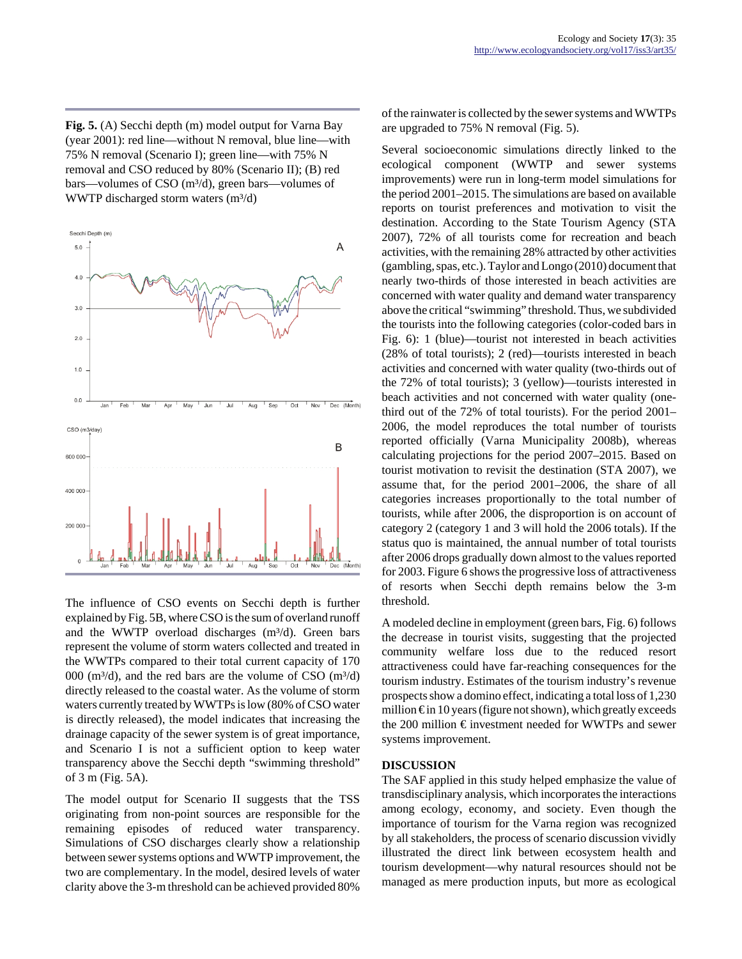**Fig. 5.** (A) Secchi depth (m) model output for Varna Bay (year 2001): red line—without N removal, blue line—with 75% N removal (Scenario I); green line—with 75% N removal and CSO reduced by 80% (Scenario II); (B) red bars—volumes of CSO (m<sup>3</sup>/d), green bars—volumes of WWTP discharged storm waters  $(m<sup>3</sup>/d)$ 



The influence of CSO events on Secchi depth is further explained by Fig. 5B, where CSO is the sum of overland runoff and the WWTP overload discharges  $(m<sup>3</sup>/d)$ . Green bars represent the volume of storm waters collected and treated in the WWTPs compared to their total current capacity of 170 000 ( $\rm m^3/d$ ), and the red bars are the volume of CSO ( $\rm m^3/d$ ) directly released to the coastal water. As the volume of storm waters currently treated by WWTPs is low (80% of CSO water is directly released), the model indicates that increasing the drainage capacity of the sewer system is of great importance, and Scenario I is not a sufficient option to keep water transparency above the Secchi depth "swimming threshold" of 3 m (Fig. 5A).

The model output for Scenario II suggests that the TSS originating from non-point sources are responsible for the remaining episodes of reduced water transparency. Simulations of CSO discharges clearly show a relationship between sewer systems options and WWTP improvement, the two are complementary. In the model, desired levels of water clarity above the 3-m threshold can be achieved provided 80% of the rainwater is collected by the sewer systems and WWTPs are upgraded to 75% N removal (Fig. 5).

Several socioeconomic simulations directly linked to the ecological component (WWTP and sewer systems improvements) were run in long-term model simulations for the period 2001–2015. The simulations are based on available reports on tourist preferences and motivation to visit the destination. According to the State Tourism Agency (STA 2007), 72% of all tourists come for recreation and beach activities, with the remaining 28% attracted by other activities (gambling, spas, etc.). Taylor and Longo (2010) document that nearly two-thirds of those interested in beach activities are concerned with water quality and demand water transparency above the critical "swimming" threshold. Thus, we subdivided the tourists into the following categories (color-coded bars in Fig. 6): 1 (blue)—tourist not interested in beach activities (28% of total tourists); 2 (red)—tourists interested in beach activities and concerned with water quality (two-thirds out of the 72% of total tourists); 3 (yellow)—tourists interested in beach activities and not concerned with water quality (onethird out of the 72% of total tourists). For the period 2001– 2006, the model reproduces the total number of tourists reported officially (Varna Municipality 2008b), whereas calculating projections for the period 2007–2015. Based on tourist motivation to revisit the destination (STA 2007), we assume that, for the period 2001–2006, the share of all categories increases proportionally to the total number of tourists, while after 2006, the disproportion is on account of category 2 (category 1 and 3 will hold the 2006 totals). If the status quo is maintained, the annual number of total tourists after 2006 drops gradually down almost to the values reported for 2003. Figure 6 shows the progressive loss of attractiveness of resorts when Secchi depth remains below the 3-m threshold.

A modeled decline in employment (green bars, Fig. 6) follows the decrease in tourist visits, suggesting that the projected community welfare loss due to the reduced resort attractiveness could have far-reaching consequences for the tourism industry. Estimates of the tourism industry's revenue prospects show a domino effect, indicating a total loss of 1,230 million  $\epsilon$  in 10 years (figure not shown), which greatly exceeds the 200 million  $\epsilon$  investment needed for WWTPs and sewer systems improvement.

## **DISCUSSION**

The SAF applied in this study helped emphasize the value of transdisciplinary analysis, which incorporates the interactions among ecology, economy, and society. Even though the importance of tourism for the Varna region was recognized by all stakeholders, the process of scenario discussion vividly illustrated the direct link between ecosystem health and tourism development—why natural resources should not be managed as mere production inputs, but more as ecological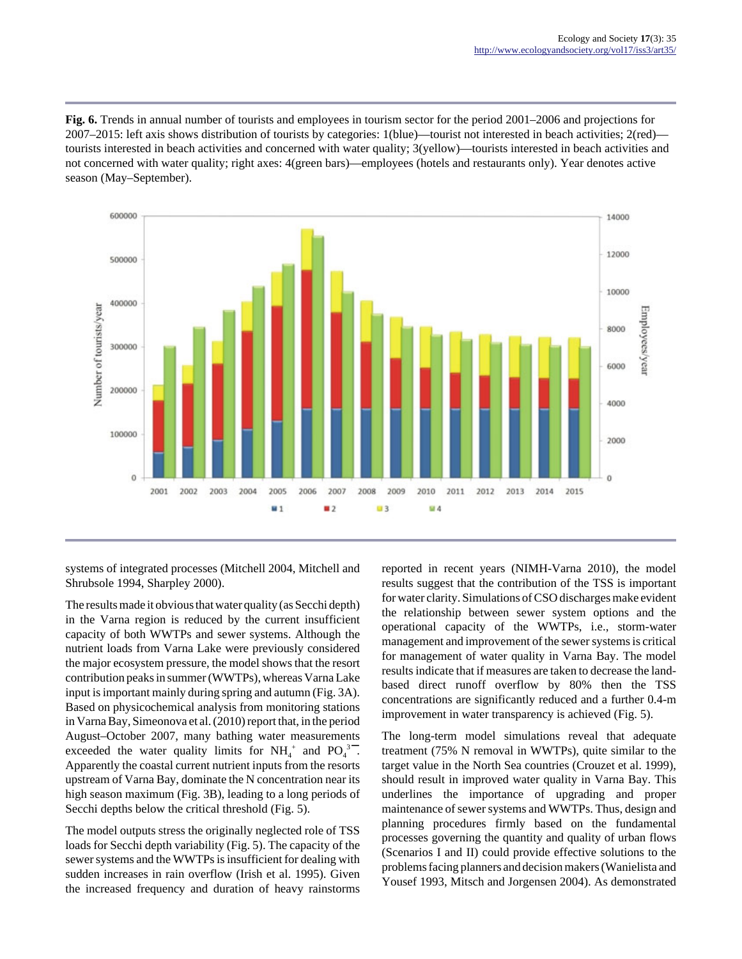**Fig. 6.** Trends in annual number of tourists and employees in tourism sector for the period 2001–2006 and projections for 2007–2015: left axis shows distribution of tourists by categories: 1(blue)—tourist not interested in beach activities; 2(red) tourists interested in beach activities and concerned with water quality; 3(yellow)—tourists interested in beach activities and not concerned with water quality; right axes: 4(green bars)—employees (hotels and restaurants only). Year denotes active season (May–September).



systems of integrated processes (Mitchell 2004, Mitchell and Shrubsole 1994, Sharpley 2000).

The results made it obvious that water quality (as Secchi depth) in the Varna region is reduced by the current insufficient capacity of both WWTPs and sewer systems. Although the nutrient loads from Varna Lake were previously considered the major ecosystem pressure, the model shows that the resort contribution peaks in summer (WWTPs), whereas Varna Lake input is important mainly during spring and autumn (Fig. 3A). Based on physicochemical analysis from monitoring stations in Varna Bay, Simeonova et al. (2010) report that, in the period August–October 2007, many bathing water measurements exceeded the water quality limits for  $NH_4^+$  and  $PO_4^{3-}$ . Apparently the coastal current nutrient inputs from the resorts upstream of Varna Bay, dominate the N concentration near its high season maximum (Fig. 3B), leading to a long periods of Secchi depths below the critical threshold (Fig. 5).

The model outputs stress the originally neglected role of TSS loads for Secchi depth variability (Fig. 5). The capacity of the sewer systems and the WWTPs is insufficient for dealing with sudden increases in rain overflow (Irish et al. 1995). Given the increased frequency and duration of heavy rainstorms reported in recent years (NIMH-Varna 2010), the model results suggest that the contribution of the TSS is important for water clarity. Simulations of CSO discharges make evident the relationship between sewer system options and the operational capacity of the WWTPs, i.e., storm-water management and improvement of the sewer systems is critical for management of water quality in Varna Bay. The model results indicate that if measures are taken to decrease the landbased direct runoff overflow by 80% then the TSS concentrations are significantly reduced and a further 0.4-m improvement in water transparency is achieved (Fig. 5).

The long-term model simulations reveal that adequate treatment (75% N removal in WWTPs), quite similar to the target value in the North Sea countries (Crouzet et al. 1999), should result in improved water quality in Varna Bay. This underlines the importance of upgrading and proper maintenance of sewer systems and WWTPs. Thus, design and planning procedures firmly based on the fundamental processes governing the quantity and quality of urban flows (Scenarios I and II) could provide effective solutions to the problems facing planners and decision makers (Wanielista and Yousef 1993, Mitsch and Jorgensen 2004). As demonstrated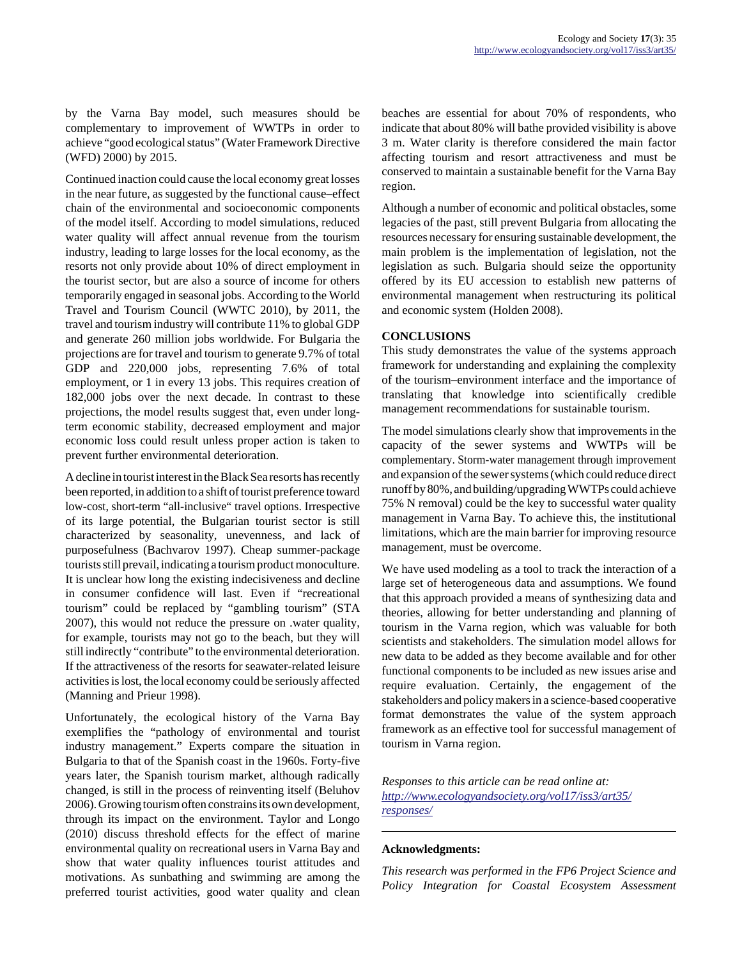by the Varna Bay model, such measures should be complementary to improvement of WWTPs in order to achieve "good ecological status" (Water Framework Directive (WFD) 2000) by 2015.

Continued inaction could cause the local economy great losses in the near future, as suggested by the functional cause–effect chain of the environmental and socioeconomic components of the model itself. According to model simulations, reduced water quality will affect annual revenue from the tourism industry, leading to large losses for the local economy, as the resorts not only provide about 10% of direct employment in the tourist sector, but are also a source of income for others temporarily engaged in seasonal jobs. According to the World Travel and Tourism Council (WWTC 2010), by 2011, the travel and tourism industry will contribute 11% to global GDP and generate 260 million jobs worldwide. For Bulgaria the projections are for travel and tourism to generate 9.7% of total GDP and 220,000 jobs, representing 7.6% of total employment, or 1 in every 13 jobs. This requires creation of 182,000 jobs over the next decade. In contrast to these projections, the model results suggest that, even under longterm economic stability, decreased employment and major economic loss could result unless proper action is taken to prevent further environmental deterioration.

A decline in tourist interest in the Black Sea resorts has recently been reported, in addition to a shift of tourist preference toward low-cost, short-term "all-inclusive" travel options. Irrespective of its large potential, the Bulgarian tourist sector is still characterized by seasonality, unevenness, and lack of purposefulness (Bachvarov 1997). Cheap summer-package tourists still prevail, indicating a tourism product monoculture. It is unclear how long the existing indecisiveness and decline in consumer confidence will last. Even if "recreational tourism" could be replaced by "gambling tourism" (STA 2007), this would not reduce the pressure on .water quality, for example, tourists may not go to the beach, but they will still indirectly "contribute" to the environmental deterioration. If the attractiveness of the resorts for seawater-related leisure activities is lost, the local economy could be seriously affected (Manning and Prieur 1998).

Unfortunately, the ecological history of the Varna Bay exemplifies the "pathology of environmental and tourist industry management." Experts compare the situation in Bulgaria to that of the Spanish coast in the 1960s. Forty-five years later, the Spanish tourism market, although radically changed, is still in the process of reinventing itself (Beluhov 2006). Growing tourism often constrains its own development, through its impact on the environment. Taylor and Longo (2010) discuss threshold effects for the effect of marine environmental quality on recreational users in Varna Bay and show that water quality influences tourist attitudes and motivations. As sunbathing and swimming are among the preferred tourist activities, good water quality and clean beaches are essential for about 70% of respondents, who indicate that about 80% will bathe provided visibility is above 3 m. Water clarity is therefore considered the main factor affecting tourism and resort attractiveness and must be conserved to maintain a sustainable benefit for the Varna Bay region.

Although a number of economic and political obstacles, some legacies of the past, still prevent Bulgaria from allocating the resources necessary for ensuring sustainable development, the main problem is the implementation of legislation, not the legislation as such. Bulgaria should seize the opportunity offered by its EU accession to establish new patterns of environmental management when restructuring its political and economic system (Holden 2008).

## **CONCLUSIONS**

This study demonstrates the value of the systems approach framework for understanding and explaining the complexity of the tourism–environment interface and the importance of translating that knowledge into scientifically credible management recommendations for sustainable tourism.

The model simulations clearly show that improvements in the capacity of the sewer systems and WWTPs will be complementary. Storm-water management through improvement and expansion of the sewer systems (which could reduce direct runoff by 80%, and building/upgrading WWTPs could achieve 75% N removal) could be the key to successful water quality management in Varna Bay. To achieve this, the institutional limitations, which are the main barrier for improving resource management, must be overcome.

We have used modeling as a tool to track the interaction of a large set of heterogeneous data and assumptions. We found that this approach provided a means of synthesizing data and theories, allowing for better understanding and planning of tourism in the Varna region, which was valuable for both scientists and stakeholders. The simulation model allows for new data to be added as they become available and for other functional components to be included as new issues arise and require evaluation. Certainly, the engagement of the stakeholders and policy makers in a science-based cooperative format demonstrates the value of the system approach framework as an effective tool for successful management of tourism in Varna region.

*Responses to this article can be read online at: [http://www](http://www.ecologyandsociety.org/vol17/iss3/art35/responses/).ecologyandsociety.org/vol17/iss3/art35/ responses/*

## **Acknowledgments:**

*This research was performed in the FP6 Project Science and Policy Integration for Coastal Ecosystem Assessment*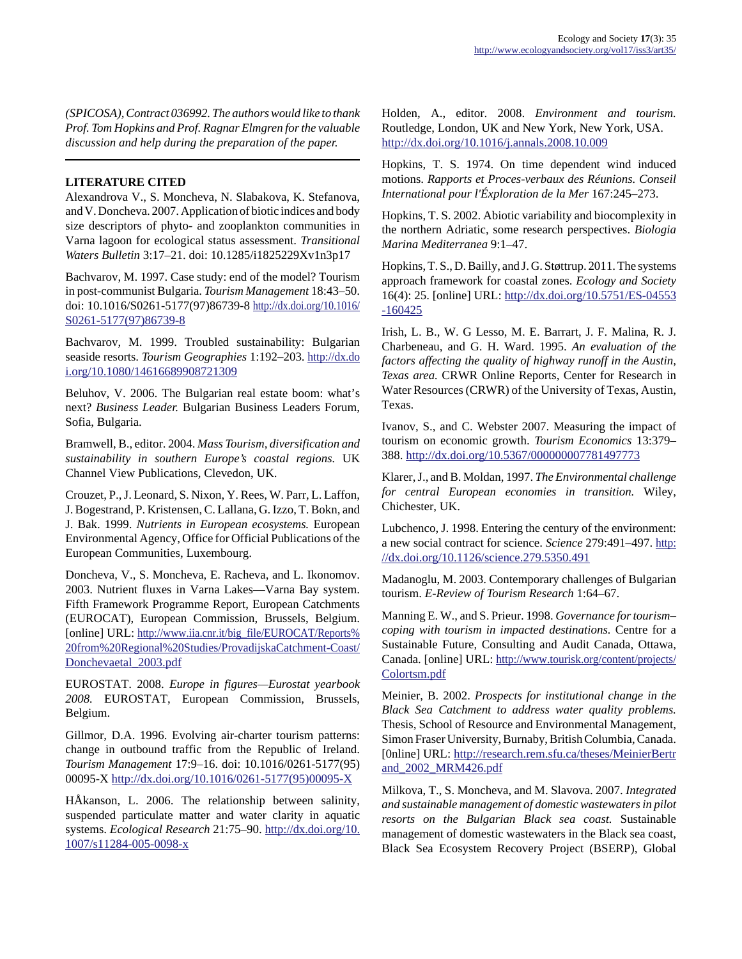*(SPICOSA), Contract 036992. The authors would like to thank Prof. Tom Hopkins and Prof. Ragnar Elmgren for the valuable discussion and help during the preparation of the paper.*

## **LITERATURE CITED**

Alexandrova V., S. Moncheva, N. Slabakova, K. Stefanova, and V. Doncheva. 2007. Application of biotic indices and body size descriptors of phyto- and zooplankton communities in Varna lagoon for ecological status assessment. *Transitional Waters Bulletin* 3:17–21. doi: 10.1285/i1825229Xv1n3p17

Bachvarov, M. 1997. Case study: end of the model? Tourism in post-communist Bulgaria. *Tourism Management* 18:43–50. doi: 10.1016/S0261-5177(97)86739-8 [http://dx.doi.org/10.1016/](http://dx.doi.org/10.1016/S0261-5177(97)86739-8) [S0261-5177\(97\)86739-8](http://dx.doi.org/10.1016/S0261-5177(97)86739-8)

Bachvarov, M. 1999. Troubled sustainability: Bulgarian seaside resorts. *Tourism Geographies* 1:192–203. [http://dx.do](http://dx.doi.org/10.1080/14616689908721309) [i.org/10.1080/14616689908721309](http://dx.doi.org/10.1080/14616689908721309)

Beluhov, V. 2006. The Bulgarian real estate boom: what's next? *Business Leader.* Bulgarian Business Leaders Forum, Sofia, Bulgaria.

Bramwell, B., editor. 2004. *Mass Tourism, diversification and sustainability in southern Europe's coastal regions.* UK Channel View Publications, Clevedon, UK.

Crouzet, P., J. Leonard, S. Nixon, Y. Rees, W. Parr, L. Laffon, J. Bogestrand, P. Kristensen, C. Lallana, G. Izzo, T. Bokn, and J. Bak. 1999. *Nutrients in European ecosystems.* European Environmental Agency, Office for Official Publications of the European Communities, Luxembourg.

Doncheva, V., S. Moncheva, E. Racheva, and L. Ikonomov. 2003. Nutrient fluxes in Varna Lakes—Varna Bay system. Fifth Framework Programme Report, European Catchments (EUROCAT), European Commission, Brussels, Belgium. [online] URL: [http://www.iia.cnr.it/big\\_file/EUROCAT/Reports%](http://www.iia.cnr.it/big_file/EUROCAT/Reports%20from%20Regional%20Studies/ProvadijskaCatchment-Coast/Donchevaetal_2003.pdf) [20from%20Regional%20Studies/ProvadijskaCatchment-Coast/](http://www.iia.cnr.it/big_file/EUROCAT/Reports%20from%20Regional%20Studies/ProvadijskaCatchment-Coast/Donchevaetal_2003.pdf) [Donchevaetal\\_2003.pdf](http://www.iia.cnr.it/big_file/EUROCAT/Reports%20from%20Regional%20Studies/ProvadijskaCatchment-Coast/Donchevaetal_2003.pdf)

EUROSTAT. 2008. *Europe in figures—Eurostat yearbook 2008.* EUROSTAT, European Commission, Brussels, Belgium.

Gillmor, D.A. 1996. Evolving air-charter tourism patterns: change in outbound traffic from the Republic of Ireland. *Tourism Management* 17:9–16. doi: 10.1016/0261-5177(95) 00095-X [http://dx.doi.org/10.1016/0261-5177\(95\)00095-X](http://dx.doi.org/10.1016/0261-5177(95)00095-X)

HÅkanson, L. 2006. The relationship between salinity, suspended particulate matter and water clarity in aquatic systems. *Ecological Research* 21:75–90. [http://dx.doi.org/10.](http://dx.doi.org/10.1007/s11284-005-0098-x) [1007/s11284-005-0098-x](http://dx.doi.org/10.1007/s11284-005-0098-x)

Holden, A., editor. 2008. *Environment and tourism.* Routledge, London, UK and New York, New York, USA. <http://dx.doi.org/10.1016/j.annals.2008.10.009>

Hopkins, T. S. 1974. On time dependent wind induced motions. *Rapports et Proces-verbaux des Réunions. Conseil International pour l'Éxploration de la Mer* 167:245–273.

Hopkins, T. S. 2002. Abiotic variability and biocomplexity in the northern Adriatic, some research perspectives. *Biologia Marina Mediterranea* 9:1–47.

Hopkins, T. S., D. Bailly, and J. G. Støttrup. 2011. The systems approach framework for coastal zones. *Ecology and Society* 16(4): 25. [online] URL: [http://dx.doi.org/10.5751/ES-04553](http://dx.doi.org/10.5751/ES-04553-160425) [-160425](http://dx.doi.org/10.5751/ES-04553-160425)

Irish, L. B., W. G Lesso, M. E. Barrart, J. F. Malina, R. J. Charbeneau, and G. H. Ward. 1995. *An evaluation of the factors affecting the quality of highway runoff in the Austin, Texas area.* CRWR Online Reports, Center for Research in Water Resources (CRWR) of the University of Texas, Austin, Texas.

Ivanov, S., and C. Webster 2007. Measuring the impact of tourism on economic growth. *Tourism Economics* 13:379– 388.<http://dx.doi.org/10.5367/000000007781497773>

Klarer, J., and B. Moldan, 1997. *The Environmental challenge for central European economies in transition.* Wiley, Chichester, UK.

Lubchenco, J. 1998. Entering the century of the environment: a new social contract for science. *Science* 279:491–497. [http:](http://dx.doi.org/10.1126/science.279.5350.491) [//dx.doi.org/10.1126/science.279.5350.491](http://dx.doi.org/10.1126/science.279.5350.491)

Madanoglu, M. 2003. Contemporary challenges of Bulgarian tourism. *E-Review of Tourism Research* 1:64–67.

Manning E. W., and S. Prieur. 1998. *Governance for tourism– coping with tourism in impacted destinations.* Centre for a Sustainable Future, Consulting and Audit Canada, Ottawa, Canada. [online] URL: [http://www.tourisk.org/content/projects/](http://www.tourisk.org/content/projects/Colortsm.pdf) [Colortsm.pdf](http://www.tourisk.org/content/projects/Colortsm.pdf)

Meinier, B. 2002. *Prospects for institutional change in the Black Sea Catchment to address water quality problems.* Thesis, School of Resource and Environmental Management, Simon Fraser University, Burnaby, British Columbia, Canada. [0nline] URL: [http://research.rem.sfu.ca/theses/MeinierBertr](http://research.rem.sfu.ca/theses/MeinierBertrand_2002_MRM426.pdf) [and\\_2002\\_MRM426.pdf](http://research.rem.sfu.ca/theses/MeinierBertrand_2002_MRM426.pdf)

Milkova, T., S. Moncheva, and M. Slavova. 2007. *Integrated and sustainable management of domestic wastewaters in pilot resorts on the Bulgarian Black sea coast.* Sustainable management of domestic wastewaters in the Black sea coast, Black Sea Ecosystem Recovery Project (BSERP), Global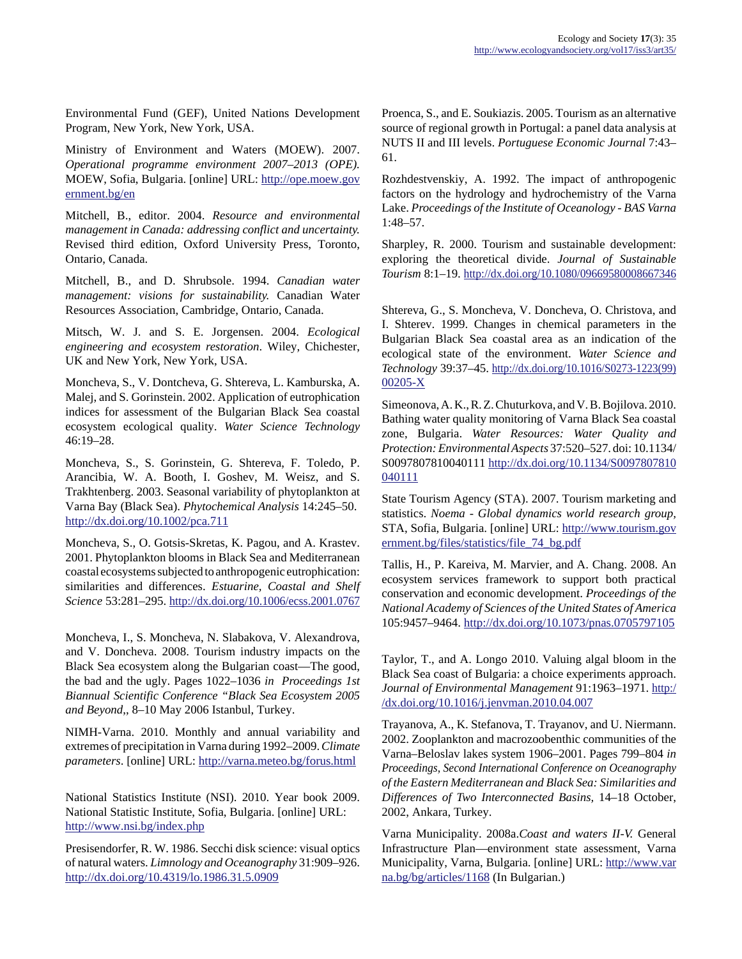Environmental Fund (GEF), United Nations Development Program, New York, New York, USA.

Ministry of Environment and Waters (MOEW). 2007. *Operational programme environment 2007–2013 (OPE).* MOEW, Sofia, Bulgaria. [online] URL: [http://ope.moew.gov](http://ope.moew.government.bg/en) [ernment.bg/en](http://ope.moew.government.bg/en)

Mitchell, B., editor. 2004. *Resource and environmental management in Canada: addressing conflict and uncertainty.* Revised third edition, Oxford University Press, Toronto, Ontario, Canada.

Mitchell, B., and D. Shrubsole. 1994. *Canadian water management: visions for sustainability.* Canadian Water Resources Association, Cambridge, Ontario, Canada.

Mitsch, W. J. and S. E. Jorgensen. 2004. *Ecological engineering and ecosystem restoration*. Wiley, Chichester, UK and New York, New York, USA.

Moncheva, S., V. Dontcheva, G. Shtereva, L. Kamburska, A. Malej, and S. Gorinstein. 2002. Application of eutrophication indices for assessment of the Bulgarian Black Sea coastal ecosystem ecological quality. *Water Science Technology* 46:19–28.

Moncheva, S., S. Gorinstein, G. Shtereva, F. Toledo, P. Arancibia, W. A. Booth, I. Goshev, M. Weisz, and S. Trakhtenberg. 2003. Seasonal variability of phytoplankton at Varna Bay (Black Sea). *Phytochemical Analysis* 14:245–50. <http://dx.doi.org/10.1002/pca.711>

Moncheva, S., O. Gotsis-Skretas, K. Pagou, and A. Krastev. 2001. Phytoplankton blooms in Black Sea and Mediterranean coastal ecosystems subjected to anthropogenic eutrophication: similarities and differences. *Estuarine, Coastal and Shelf Science* 53:281–295. <http://dx.doi.org/10.1006/ecss.2001.0767>

Moncheva, I., S. Moncheva, N. Slabakova, V. Alexandrova, and V. Doncheva. 2008. Tourism industry impacts on the Black Sea ecosystem along the Bulgarian coast—The good, the bad and the ugly. Pages 1022–1036 *in Proceedings 1st Biannual Scientific Conference "Black Sea Ecosystem 2005 and Beyond*,, 8–10 May 2006 Istanbul, Turkey.

NIMH-Varna. 2010. Monthly and annual variability and extremes of precipitation in Varna during 1992–2009. *Climate parameters*. [online] URL: <http://varna.meteo.bg/forus.html>

National Statistics Institute (NSI). 2010. Year book 2009. National Statistic Institute, Sofia, Bulgaria. [online] URL: <http://www.nsi.bg/index.php>

Presisendorfer, R. W. 1986. Secchi disk science: visual optics of natural waters. *Limnology and Oceanography* 31:909–926. <http://dx.doi.org/10.4319/lo.1986.31.5.0909>

Proenca, S., and E. Soukiazis. 2005. Tourism as an alternative source of regional growth in Portugal: a panel data analysis at NUTS II and III levels. *Portuguese Economic Journal* 7:43– 61.

Rozhdestvenskiy, A. 1992. The impact of anthropogenic factors on the hydrology and hydrochemistry of the Varna Lake. *Proceedings of the Institute of Oceanology - BAS Varna* 1:48–57.

Sharpley, R. 2000. Tourism and sustainable development: exploring the theoretical divide. *Journal of Sustainable Tourism* 8:1–19. <http://dx.doi.org/10.1080/09669580008667346>

Shtereva, G., S. Moncheva, V. Doncheva, O. Christova, and I. Shterev. 1999. Changes in chemical parameters in the Bulgarian Black Sea coastal area as an indication of the ecological state of the environment. *Water Science and Technology* 39:37–45. [http://dx.doi.org/10.1016/S0273-1223\(99\)](http://dx.doi.org/10.1016/S0273-1223(99)00205-X) [00205-X](http://dx.doi.org/10.1016/S0273-1223(99)00205-X)

Simeonova, A. K., R. Z. Chuturkova, and V. B. Bojilova. 2010. Bathing water quality monitoring of Varna Black Sea coastal zone, Bulgaria. *Water Resources: Water Quality and Protection: Environmental Aspects* 37:520–527. doi: 10.1134/ S0097807810040111 [http://dx.doi.org/10.1134/S0097807810](http://dx.doi.org/10.1134/S0097807810040111) [040111](http://dx.doi.org/10.1134/S0097807810040111)

State Tourism Agency (STA). 2007. Tourism marketing and statistics. *Noema - Global dynamics world research group,* STA, Sofia, Bulgaria. [online] URL: [http://www.tourism.gov](http://www.tourism.government.bg/files/statistics/file_74_bg.pdf) [ernment.bg/files/statistics/file\\_74\\_bg.pdf](http://www.tourism.government.bg/files/statistics/file_74_bg.pdf)

Tallis, H., P. Kareiva, M. Marvier, and A. Chang. 2008. An ecosystem services framework to support both practical conservation and economic development. *Proceedings of the National Academy of Sciences of the United States of America* 105:9457–9464. <http://dx.doi.org/10.1073/pnas.0705797105>

Taylor, T., and A. Longo 2010. Valuing algal bloom in the Black Sea coast of Bulgaria: a choice experiments approach. *Journal of Environmental Management* 91:1963–1971. [http:/](http://dx.doi.org/10.1016/j.jenvman.2010.04.007) [/dx.doi.org/10.1016/j.jenvman.2010.04.007](http://dx.doi.org/10.1016/j.jenvman.2010.04.007)

Trayanova, A., K. Stefanova, T. Trayanov, and U. Niermann. 2002. Zooplankton and macrozoobenthic communities of the Varna–Beloslav lakes system 1906–2001. Pages 799–804 *in Proceedings, Second International Conference on Oceanography of the Eastern Mediterranean and Black Sea: Similarities and Differences of Two Interconnected Basins,* 14–18 October, 2002, Ankara, Turkey.

Varna Municipality. 2008a.*Coast and waters II-V.* General Infrastructure Plan—environment state assessment, Varna Municipality, Varna, Bulgaria. [online] URL: [http://www.var](http://www.varna.bg/bg/articles/1168) [na.bg/bg/articles/1168](http://www.varna.bg/bg/articles/1168) (In Bulgarian.)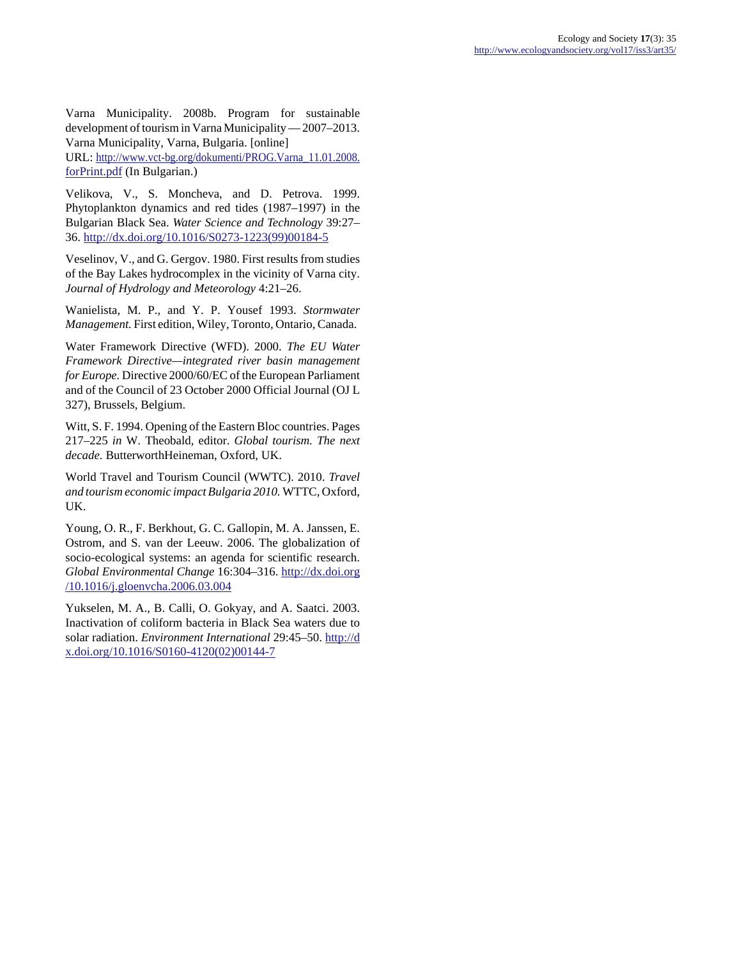Varna Municipality. 2008b. Program for sustainable development of tourism in Varna Municipality — 2007–2013. Varna Municipality, Varna, Bulgaria. [online]

URL: [http://www.vct-bg.org/dokumenti/PROG.Varna\\_11.01.2008.](http://www.vct-bg.org/dokumenti/PROG.Varna_11.01.2008.forPrint.pdf) [forPrint.pdf](http://www.vct-bg.org/dokumenti/PROG.Varna_11.01.2008.forPrint.pdf) (In Bulgarian.)

Velikova, V., S. Moncheva, and D. Petrova. 1999. Phytoplankton dynamics and red tides (1987–1997) in the Bulgarian Black Sea. *Water Science and Technology* 39:27– 36. [http://dx.doi.org/10.1016/S0273-1223\(99\)00184-5](http://dx.doi.org/10.1016/S0273-1223(99)00184-5)

Veselinov, V., and G. Gergov. 1980. First results from studies of the Bay Lakes hydrocomplex in the vicinity of Varna city. *Journal of Hydrology and Meteorology* 4:21–26.

Wanielista, M. P., and Y. P. Yousef 1993. *Stormwater Management.* First edition, Wiley, Toronto, Ontario, Canada.

Water Framework Directive (WFD). 2000. *The EU Water Framework Directive—integrated river basin management for Europe.* Directive 2000/60/EC of the European Parliament and of the Council of 23 October 2000 Official Journal (OJ L 327), Brussels, Belgium.

Witt, S. F. 1994. Opening of the Eastern Bloc countries. Pages 217–225 *in* W. Theobald, editor. *Global tourism. The next decade.* ButterworthHeineman, Oxford, UK.

World Travel and Tourism Council (WWTC). 2010. *Travel and tourism economic impact Bulgaria 2010.* WTTC, Oxford, UK.

Young, O. R., F. Berkhout, G. C. Gallopin, M. A. Janssen, E. Ostrom, and S. van der Leeuw. 2006. The globalization of socio-ecological systems: an agenda for scientific research. *Global Environmental Change* 16:304–316. [http://dx.doi.org](http://dx.doi.org/10.1016/j.gloenvcha.2006.03.004) [/10.1016/j.gloenvcha.2006.03.004](http://dx.doi.org/10.1016/j.gloenvcha.2006.03.004)

Yukselen, M. A., B. Calli, O. Gokyay, and A. Saatci. 2003. Inactivation of coliform bacteria in Black Sea waters due to solar radiation. *Environment International* 29:45–50. [http://d](http://dx.doi.org/10.1016/S0160-4120(02)00144-7) [x.doi.org/10.1016/S0160-4120\(02\)00144-7](http://dx.doi.org/10.1016/S0160-4120(02)00144-7)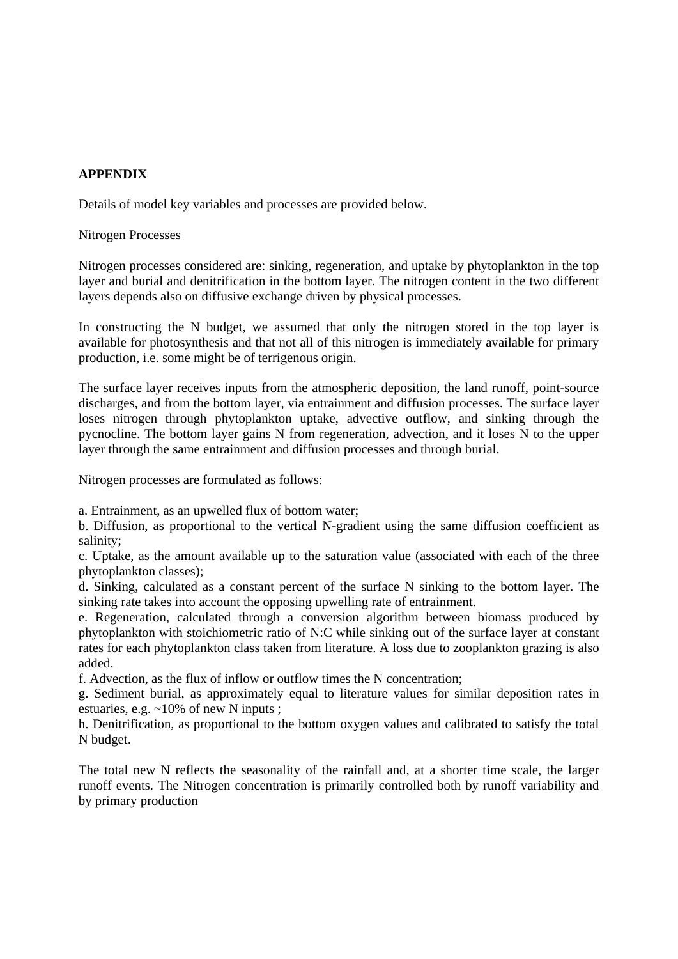# **APPENDIX**

Details of model key variables and processes are provided below.

Nitrogen Processes

Nitrogen processes considered are: sinking, regeneration, and uptake by phytoplankton in the top layer and burial and denitrification in the bottom layer. The nitrogen content in the two different layers depends also on diffusive exchange driven by physical processes.

In constructing the N budget, we assumed that only the nitrogen stored in the top layer is available for photosynthesis and that not all of this nitrogen is immediately available for primary production, i.e. some might be of terrigenous origin.

The surface layer receives inputs from the atmospheric deposition, the land runoff, point-source discharges, and from the bottom layer, via entrainment and diffusion processes. The surface layer loses nitrogen through phytoplankton uptake, advective outflow, and sinking through the pycnocline. The bottom layer gains N from regeneration, advection, and it loses N to the upper layer through the same entrainment and diffusion processes and through burial.

Nitrogen processes are formulated as follows:

a. Entrainment, as an upwelled flux of bottom water;

b. Diffusion, as proportional to the vertical N-gradient using the same diffusion coefficient as salinity;

c. Uptake, as the amount available up to the saturation value (associated with each of the three phytoplankton classes);

d. Sinking, calculated as a constant percent of the surface N sinking to the bottom layer. The sinking rate takes into account the opposing upwelling rate of entrainment.

e. Regeneration, calculated through a conversion algorithm between biomass produced by phytoplankton with stoichiometric ratio of N:C while sinking out of the surface layer at constant rates for each phytoplankton class taken from literature. A loss due to zooplankton grazing is also added.

f. Advection, as the flux of inflow or outflow times the N concentration;

g. Sediment burial, as approximately equal to literature values for similar deposition rates in estuaries, e.g. ~10% of new N inputs ;

h. Denitrification, as proportional to the bottom oxygen values and calibrated to satisfy the total N budget.

The total new N reflects the seasonality of the rainfall and, at a shorter time scale, the larger runoff events. The Nitrogen concentration is primarily controlled both by runoff variability and by primary production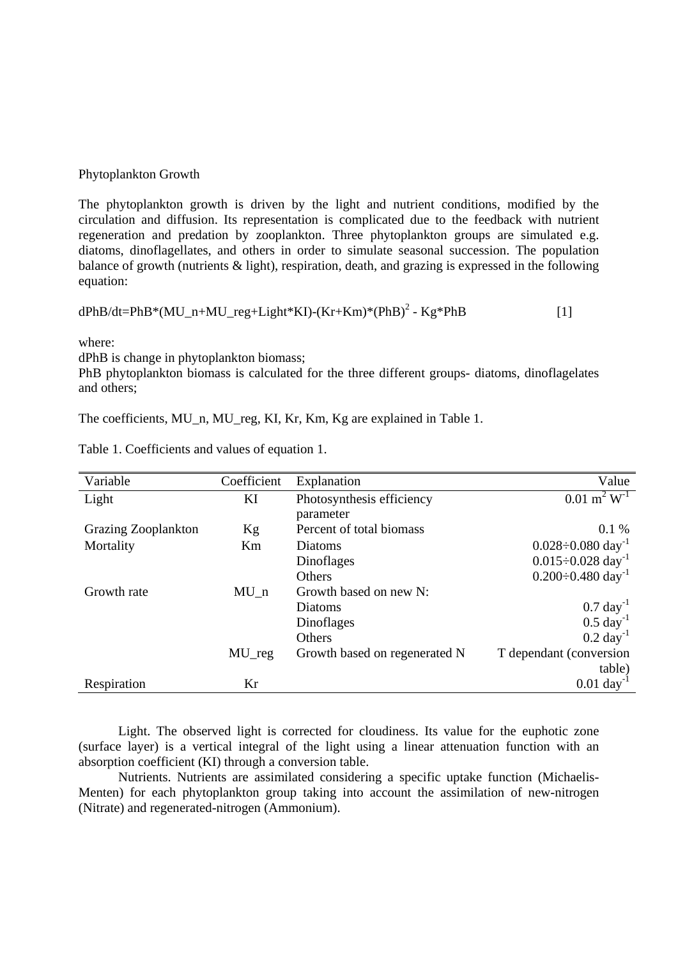# Phytoplankton Growth

The phytoplankton growth is driven by the light and nutrient conditions, modified by the circulation and diffusion. Its representation is complicated due to the feedback with nutrient regeneration and predation by zooplankton. Three phytoplankton groups are simulated e.g. diatoms, dinoflagellates, and others in order to simulate seasonal succession. The population balance of growth (nutrients & light), respiration, death, and grazing is expressed in the following equation:

$$
dPhB/dt = PhB*(MU_n + MU_r eg + Light*KI) - (Kr + Km)*(PhB)^2 - Kg*PhB
$$
 [1]

where:

dPhB is change in phytoplankton biomass;

PhB phytoplankton biomass is calculated for the three different groups- diatoms, dinoflagelates and others;

The coefficients, MU<sub>n</sub>, MU<sub>reg</sub>, KI, Kr, Km, Kg are explained in Table 1.

| Variable            | Coefficient | Explanation                   | Value                                |
|---------------------|-------------|-------------------------------|--------------------------------------|
| Light               | KI          | Photosynthesis efficiency     | $0.01 \text{ m}^2 \text{ W}^1$       |
|                     |             | parameter                     |                                      |
| Grazing Zooplankton | Kg          | Percent of total biomass      | $0.1\%$                              |
| Mortality           | Km          | Diatoms                       | $0.028 \div 0.080$ day <sup>-1</sup> |
|                     |             | Dinoflages                    | $0.015 \div 0.028$ day <sup>-1</sup> |
|                     |             | Others                        | $0.200 \div 0.480$ day <sup>-1</sup> |
| Growth rate         | MU n        | Growth based on new N:        |                                      |
|                     |             | Diatoms                       | $0.7 \text{ day}^{-1}$               |
|                     |             | Dinoflages                    | $0.5 \text{ day}^{-1}$               |
|                     |             | Others                        | $0.2 \text{ day}^{-1}$               |
|                     | $MU_{reg}$  | Growth based on regenerated N | T dependant (conversion)             |
|                     |             |                               | table)                               |
| Respiration         | Kr          |                               | $0.01 \text{ day}^{-1}$              |

Table 1. Coefficients and values of equation 1.

 Light. The observed light is corrected for cloudiness. Its value for the euphotic zone (surface layer) is a vertical integral of the light using a linear attenuation function with an absorption coefficient (KI) through a conversion table.

 Nutrients. Nutrients are assimilated considering a specific uptake function (Michaelis-Menten) for each phytoplankton group taking into account the assimilation of new-nitrogen (Nitrate) and regenerated-nitrogen (Ammonium).